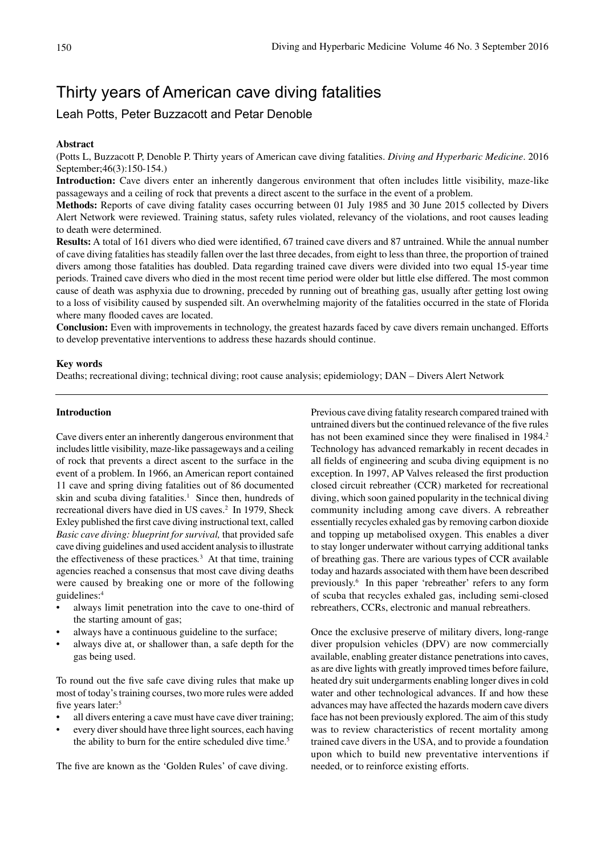# Thirty years of American cave diving fatalities

Leah Potts, Peter Buzzacott and Petar Denoble

## **Abstract**

(Potts L, Buzzacott P, Denoble P. Thirty years of American cave diving fatalities. *Diving and Hyperbaric Medicine*. 2016 September;46(3):150-154.)

**Introduction:** Cave divers enter an inherently dangerous environment that often includes little visibility, maze-like passageways and a ceiling of rock that prevents a direct ascent to the surface in the event of a problem.

**Methods:** Reports of cave diving fatality cases occurring between 01 July 1985 and 30 June 2015 collected by Divers Alert Network were reviewed. Training status, safety rules violated, relevancy of the violations, and root causes leading to death were determined.

**Results:** A total of 161 divers who died were identified, 67 trained cave divers and 87 untrained. While the annual number of cave diving fatalities has steadily fallen over the last three decades, from eight to less than three, the proportion of trained divers among those fatalities has doubled. Data regarding trained cave divers were divided into two equal 15-year time periods. Trained cave divers who died in the most recent time period were older but little else differed. The most common cause of death was asphyxia due to drowning, preceded by running out of breathing gas, usually after getting lost owing to a loss of visibility caused by suspended silt. An overwhelming majority of the fatalities occurred in the state of Florida where many flooded caves are located.

**Conclusion:** Even with improvements in technology, the greatest hazards faced by cave divers remain unchanged. Efforts to develop preventative interventions to address these hazards should continue.

#### **Key words**

Deaths; recreational diving; technical diving; root cause analysis; epidemiology; DAN – Divers Alert Network

#### **Introduction**

Cave divers enter an inherently dangerous environment that includes little visibility, maze-like passageways and a ceiling of rock that prevents a direct ascent to the surface in the event of a problem. In 1966, an American report contained 11 cave and spring diving fatalities out of 86 documented skin and scuba diving fatalities.<sup>1</sup> Since then, hundreds of recreational divers have died in US caves.<sup>2</sup> In 1979, Sheck Exley published the first cave diving instructional text, called *Basic cave diving: blueprint for survival,* that provided safe cave diving guidelines and used accident analysis to illustrate the effectiveness of these practices*.* 3 At that time, training agencies reached a consensus that most cave diving deaths were caused by breaking one or more of the following guidelines:4

- always limit penetration into the cave to one-third of the starting amount of gas;
- always have a continuous guideline to the surface;
- always dive at, or shallower than, a safe depth for the gas being used.

To round out the five safe cave diving rules that make up most of today's training courses, two more rules were added five years later:<sup>5</sup>

- all divers entering a cave must have cave diver training;
- every diver should have three light sources, each having the ability to burn for the entire scheduled dive time.<sup>5</sup>

The five are known as the 'Golden Rules' of cave diving.

Previous cave diving fatality research compared trained with untrained divers but the continued relevance of the five rules has not been examined since they were finalised in 1984.<sup>2</sup> Technology has advanced remarkably in recent decades in all fields of engineering and scuba diving equipment is no exception. In 1997, AP Valves released the first production closed circuit rebreather (CCR) marketed for recreational diving, which soon gained popularity in the technical diving community including among cave divers. A rebreather essentially recycles exhaled gas by removing carbon dioxide and topping up metabolised oxygen. This enables a diver to stay longer underwater without carrying additional tanks of breathing gas. There are various types of CCR available today and hazards associated with them have been described previously.6 In this paper 'rebreather' refers to any form of scuba that recycles exhaled gas, including semi-closed rebreathers, CCRs, electronic and manual rebreathers.

Once the exclusive preserve of military divers, long-range diver propulsion vehicles (DPV) are now commercially available, enabling greater distance penetrations into caves, as are dive lights with greatly improved times before failure, heated dry suit undergarments enabling longer dives in cold water and other technological advances. If and how these advances may have affected the hazards modern cave divers face has not been previously explored. The aim of this study was to review characteristics of recent mortality among trained cave divers in the USA, and to provide a foundation upon which to build new preventative interventions if needed, or to reinforce existing efforts.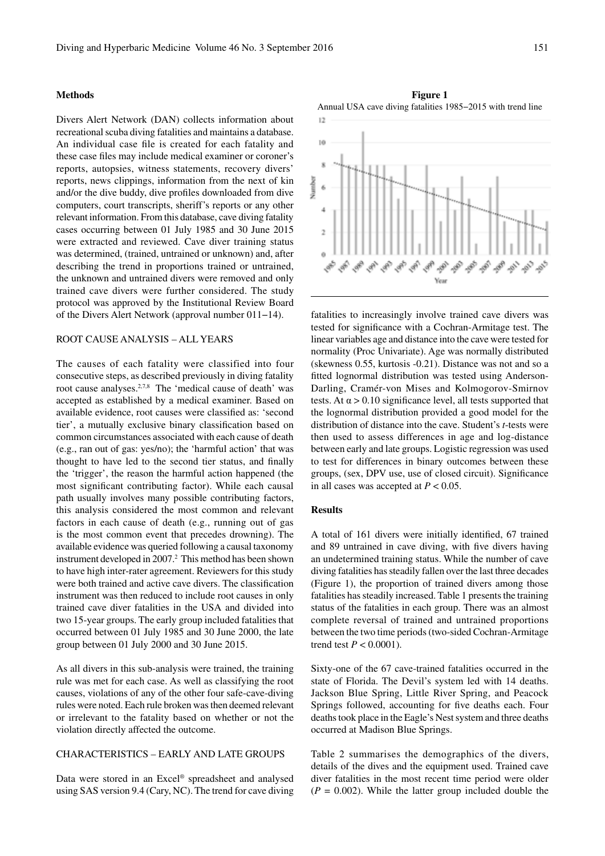## **Methods**

Divers Alert Network (DAN) collects information about recreational scuba diving fatalities and maintains a database. An individual case file is created for each fatality and these case files may include medical examiner or coroner's reports, autopsies, witness statements, recovery divers' reports, news clippings, information from the next of kin and/or the dive buddy, dive profiles downloaded from dive computers, court transcripts, sheriff's reports or any other relevant information. From this database, cave diving fatality cases occurring between 01 July 1985 and 30 June 2015 were extracted and reviewed. Cave diver training status was determined, (trained, untrained or unknown) and, after describing the trend in proportions trained or untrained, the unknown and untrained divers were removed and only trained cave divers were further considered. The study protocol was approved by the Institutional Review Board of the Divers Alert Network (approval number 011−14).

# ROOT CAUSE ANALYSIS – ALL YEARS

The causes of each fatality were classified into four consecutive steps, as described previously in diving fatality root cause analyses.<sup>2,7,8</sup> The 'medical cause of death' was accepted as established by a medical examiner. Based on available evidence, root causes were classified as: 'second tier', a mutually exclusive binary classification based on common circumstances associated with each cause of death (e.g., ran out of gas: yes/no); the 'harmful action' that was thought to have led to the second tier status, and finally the 'trigger', the reason the harmful action happened (the most significant contributing factor). While each causal path usually involves many possible contributing factors, this analysis considered the most common and relevant factors in each cause of death (e.g., running out of gas is the most common event that precedes drowning). The available evidence was queried following a causal taxonomy instrument developed in 2007.<sup>2</sup> This method has been shown to have high inter-rater agreement. Reviewers for this study were both trained and active cave divers. The classification instrument was then reduced to include root causes in only trained cave diver fatalities in the USA and divided into two 15-year groups. The early group included fatalities that occurred between 01 July 1985 and 30 June 2000, the late group between 01 July 2000 and 30 June 2015.

As all divers in this sub-analysis were trained, the training rule was met for each case. As well as classifying the root causes, violations of any of the other four safe-cave-diving rules were noted. Each rule broken was then deemed relevant or irrelevant to the fatality based on whether or not the violation directly affected the outcome.

# CHARACTERISTICS – EARLY AND LATE GROUPS

Data were stored in an Excel® spreadsheet and analysed using SAS version 9.4 (Cary, NC). The trend for cave diving

**Figure 1** Annual USA cave diving fatalities 1985−2015 with trend line



fatalities to increasingly involve trained cave divers was tested for significance with a Cochran-Armitage test. The linear variables age and distance into the cave were tested for normality (Proc Univariate). Age was normally distributed (skewness 0.55, kurtosis -0.21). Distance was not and so a fitted lognormal distribution was tested using Anderson-Darling, Cramér-von Mises and Kolmogorov-Smirnov tests. At  $\alpha$  > 0.10 significance level, all tests supported that the lognormal distribution provided a good model for the distribution of distance into the cave. Student's *t*-tests were then used to assess differences in age and log-distance between early and late groups. Logistic regression was used to test for differences in binary outcomes between these groups, (sex, DPV use, use of closed circuit). Significance in all cases was accepted at  $P < 0.05$ .

#### **Results**

A total of 161 divers were initially identified, 67 trained and 89 untrained in cave diving, with five divers having an undetermined training status. While the number of cave diving fatalities has steadily fallen over the last three decades (Figure 1), the proportion of trained divers among those fatalities has steadily increased. Table 1 presents the training status of the fatalities in each group. There was an almost complete reversal of trained and untrained proportions between the two time periods (two-sided Cochran-Armitage trend test  $P < 0.0001$ ).

Sixty-one of the 67 cave-trained fatalities occurred in the state of Florida. The Devil's system led with 14 deaths. Jackson Blue Spring, Little River Spring, and Peacock Springs followed, accounting for five deaths each. Four deaths took place in the Eagle's Nest system and three deaths occurred at Madison Blue Springs.

Table 2 summarises the demographics of the divers, details of the dives and the equipment used. Trained cave diver fatalities in the most recent time period were older  $(P = 0.002)$ . While the latter group included double the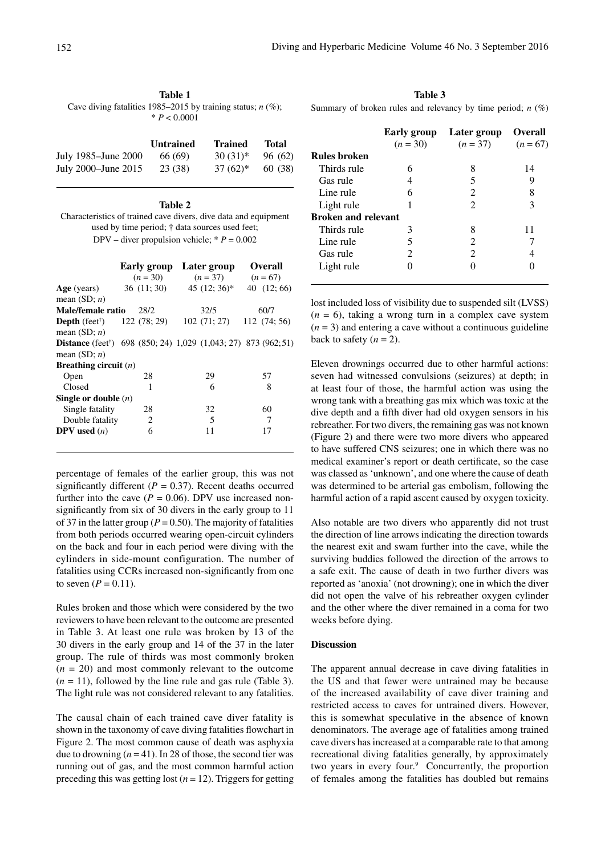**Table 1** Cave diving fatalities 1985–2015 by training status; *n* (%);  $* P < 0.0001$ 

|                     | <b>Untrained</b> | <b>Trained</b> | <b>Total</b> |
|---------------------|------------------|----------------|--------------|
| July 1985–June 2000 | 66 (69)          | $30(31)$ *     | 96 (62)      |
| July 2000–June 2015 | 23 (38)          | $37(62)^*$     | 60 (38)      |

#### **Table 2** Characteristics of trained cave divers, dive data and equipment used by time period; † data sources used feet; DPV – diver propulsion vehicle;  $* P = 0.002$

|                                                                  |      | Early group Later group                                                            | <b>Overall</b> |
|------------------------------------------------------------------|------|------------------------------------------------------------------------------------|----------------|
|                                                                  |      | $(n = 30)$ $(n = 37)$                                                              | $(n = 67)$     |
| Age (years)<br>mean $(SD; n)$                                    |      | $36(11; 30)$ $45(12; 36)^*$                                                        | 40 $(12; 66)$  |
| Male/female ratio                                                | 28/2 | 32/5                                                                               | 60/7           |
| <b>Depth</b> (feet <sup>†</sup> ) 122 (78; 29)<br>mean $(SD; n)$ |      | 102(71; 27)                                                                        | 112(74; 56)    |
| mean $(SD; n)$                                                   |      | <b>Distance</b> (feet <sup>†</sup> ) 698 (850; 24) 1,029 (1,043; 27) 873 (962; 51) |                |
| Breathing circuit $(n)$                                          |      |                                                                                    |                |
| Open                                                             | 28   | 29                                                                                 | 57             |
| Closed                                                           | 1    | 6                                                                                  | 8              |
| Single or double $(n)$                                           |      |                                                                                    |                |
| Single fatality                                                  | 28   | 32                                                                                 | 60             |
| Double fatality                                                  | 2    | 5                                                                                  | 7              |
| <b>DPV</b> used $(n)$                                            | 6    | 11                                                                                 | 17             |

percentage of females of the earlier group, this was not significantly different ( $P = 0.37$ ). Recent deaths occurred further into the cave ( $P = 0.06$ ). DPV use increased nonsignificantly from six of 30 divers in the early group to 11 of 37 in the latter group ( $P = 0.50$ ). The majority of fatalities from both periods occurred wearing open-circuit cylinders on the back and four in each period were diving with the cylinders in side-mount configuration. The number of fatalities using CCRs increased non-significantly from one to seven  $(P = 0.11)$ .

Rules broken and those which were considered by the two reviewers to have been relevant to the outcome are presented in Table 3. At least one rule was broken by 13 of the 30 divers in the early group and 14 of the 37 in the later group. The rule of thirds was most commonly broken  $(n = 20)$  and most commonly relevant to the outcome  $(n = 11)$ , followed by the line rule and gas rule (Table 3). The light rule was not considered relevant to any fatalities.

The causal chain of each trained cave diver fatality is shown in the taxonomy of cave diving fatalities flowchart in Figure 2. The most common cause of death was asphyxia due to drowning  $(n = 41)$ . In 28 of those, the second tier was running out of gas, and the most common harmful action preceding this was getting lost  $(n = 12)$ . Triggers for getting

**Table 3** Summary of broken rules and relevancy by time period; *n* (%)

|                            | Early group<br>$(n = 30)$ | Later group<br>$(n=37)$ | <b>Overall</b><br>$(n = 67)$ |
|----------------------------|---------------------------|-------------------------|------------------------------|
| <b>Rules broken</b>        |                           |                         |                              |
| Thirds rule                | 6                         | 8                       | 14                           |
| Gas rule                   | 4                         | 5                       | 9                            |
| Line rule                  | 6                         | 2                       | 8                            |
| Light rule                 | 1                         | 2                       | 3                            |
| <b>Broken and relevant</b> |                           |                         |                              |
| Thirds rule                | 3                         | 8                       | 11                           |
| Line rule                  | 5                         | 2                       |                              |
| Gas rule                   | 2                         | $\mathcal{L}$           |                              |
| Light rule                 |                           |                         |                              |
|                            |                           |                         |                              |

lost included loss of visibility due to suspended silt (LVSS)  $(n = 6)$ , taking a wrong turn in a complex cave system  $(n = 3)$  and entering a cave without a continuous guideline back to safety  $(n = 2)$ .

Eleven drownings occurred due to other harmful actions: seven had witnessed convulsions (seizures) at depth; in at least four of those, the harmful action was using the wrong tank with a breathing gas mix which was toxic at the dive depth and a fifth diver had old oxygen sensors in his rebreather. For two divers, the remaining gas was not known (Figure 2) and there were two more divers who appeared to have suffered CNS seizures; one in which there was no medical examiner's report or death certificate, so the case was classed as 'unknown', and one where the cause of death was determined to be arterial gas embolism, following the harmful action of a rapid ascent caused by oxygen toxicity.

Also notable are two divers who apparently did not trust the direction of line arrows indicating the direction towards the nearest exit and swam further into the cave, while the surviving buddies followed the direction of the arrows to a safe exit. The cause of death in two further divers was reported as 'anoxia' (not drowning); one in which the diver did not open the valve of his rebreather oxygen cylinder and the other where the diver remained in a coma for two weeks before dying.

#### **Discussion**

The apparent annual decrease in cave diving fatalities in the US and that fewer were untrained may be because of the increased availability of cave diver training and restricted access to caves for untrained divers. However, this is somewhat speculative in the absence of known denominators. The average age of fatalities among trained cave divers has increased at a comparable rate to that among recreational diving fatalities generally, by approximately two years in every four.<sup>9</sup> Concurrently, the proportion of females among the fatalities has doubled but remains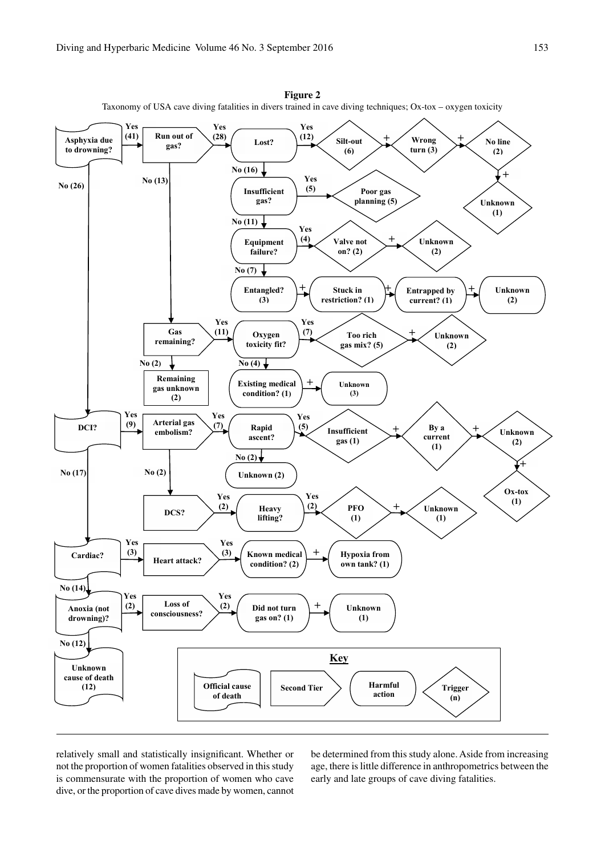

**Figure 2** Taxonomy of USA cave diving fatalities in divers trained in cave diving techniques; Ox-tox – oxygen toxicity

relatively small and statistically insignificant. Whether or not the proportion of women fatalities observed in this study is commensurate with the proportion of women who cave dive, or the proportion of cave dives made by women, cannot be determined from this study alone. Aside from increasing age, there is little difference in anthropometrics between the early and late groups of cave diving fatalities.